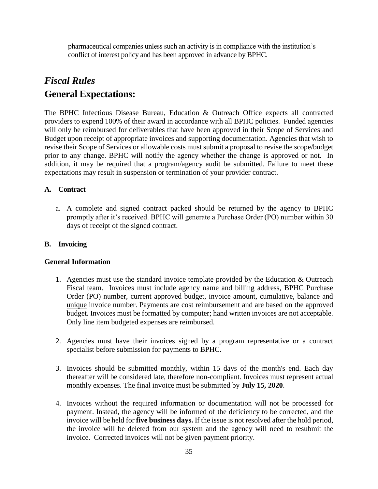pharmaceutical companies unless such an activity is in compliance with the institution's conflict of interest policy and has been approved in advance by BPHC.

# *Fiscal Rules* **General Expectations:**

The BPHC Infectious Disease Bureau, Education & Outreach Office expects all contracted providers to expend 100% of their award in accordance with all BPHC policies. Funded agencies will only be reimbursed for deliverables that have been approved in their Scope of Services and Budget upon receipt of appropriate invoices and supporting documentation. Agencies that wish to revise their Scope of Services or allowable costs must submit a proposal to revise the scope/budget prior to any change. BPHC will notify the agency whether the change is approved or not. In addition, it may be required that a program/agency audit be submitted. Failure to meet these expectations may result in suspension or termination of your provider contract.

### **A. Contract**

a. A complete and signed contract packed should be returned by the agency to BPHC promptly after it's received. BPHC will generate a Purchase Order (PO) number within 30 days of receipt of the signed contract.

### **B. Invoicing**

#### **General Information**

- 1. Agencies must use the standard invoice template provided by the Education & Outreach Fiscal team. Invoices must include agency name and billing address, BPHC Purchase Order (PO) number, current approved budget, invoice amount, cumulative, balance and unique invoice number. Payments are cost reimbursement and are based on the approved budget. Invoices must be formatted by computer; hand written invoices are not acceptable. Only line item budgeted expenses are reimbursed.
- 2. Agencies must have their invoices signed by a program representative or a contract specialist before submission for payments to BPHC.
- 3. Invoices should be submitted monthly, within 15 days of the month's end. Each day thereafter will be considered late, therefore non-compliant. Invoices must represent actual monthly expenses. The final invoice must be submitted by **July 15, 2020**.
- 4. Invoices without the required information or documentation will not be processed for payment. Instead, the agency will be informed of the deficiency to be corrected, and the invoice will be held for **five business days.** If the issue is not resolved after the hold period, the invoice will be deleted from our system and the agency will need to resubmit the invoice. Corrected invoices will not be given payment priority.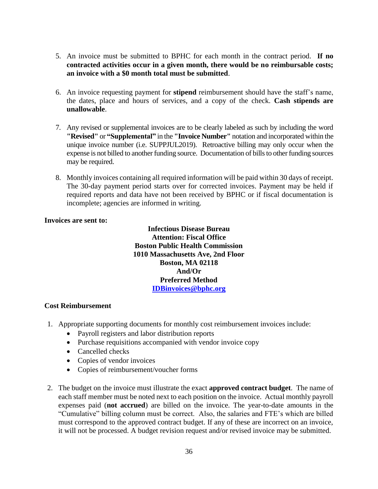- 5. An invoice must be submitted to BPHC for each month in the contract period. **If no contracted activities occur in a given month, there would be no reimbursable costs; an invoice with a \$0 month total must be submitted**.
- 6. An invoice requesting payment for **stipend** reimbursement should have the staff's name, the dates, place and hours of services, and a copy of the check. **Cash stipends are unallowable**.
- 7. Any revised or supplemental invoices are to be clearly labeled as such by including the word **"Revised"** or **"Supplemental"** in the **"Invoice Number"** notation and incorporated within the unique invoice number (i.e. SUPPJUL2019). Retroactive billing may only occur when the expense is not billed to another funding source. Documentation of bills to other funding sources may be required.
- 8. Monthly invoices containing all required information will be paid within 30 days of receipt. The 30-day payment period starts over for corrected invoices. Payment may be held if required reports and data have not been received by BPHC or if fiscal documentation is incomplete; agencies are informed in writing.

#### **Invoices are sent to:**

**Infectious Disease Bureau Attention: Fiscal Office Boston Public Health Commission 1010 Massachusetts Ave, 2nd Floor Boston, MA 02118 And/Or Preferred Method [IDBinvoices@bphc.org](mailto:IDBinvoices@bphc.org)**

#### **Cost Reimbursement**

- 1. Appropriate supporting documents for monthly cost reimbursement invoices include:
	- Payroll registers and labor distribution reports
	- Purchase requisitions accompanied with vendor invoice copy
	- Cancelled checks
	- Copies of vendor invoices
	- Copies of reimbursement/voucher forms
- 2. The budget on the invoice must illustrate the exact **approved contract budget**. The name of each staff member must be noted next to each position on the invoice. Actual monthly payroll expenses paid (**not accrued**) are billed on the invoice. The year-to-date amounts in the "Cumulative" billing column must be correct. Also, the salaries and FTE's which are billed must correspond to the approved contract budget. If any of these are incorrect on an invoice, it will not be processed. A budget revision request and/or revised invoice may be submitted.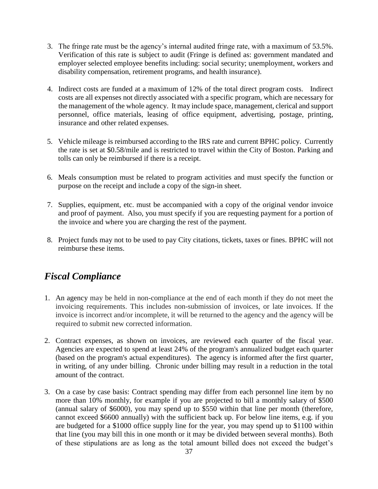- 3. The fringe rate must be the agency's internal audited fringe rate, with a maximum of 53.5%. Verification of this rate is subject to audit (Fringe is defined as: government mandated and employer selected employee benefits including: social security; unemployment, workers and disability compensation, retirement programs, and health insurance).
- 4. Indirect costs are funded at a maximum of 12% of the total direct program costs. Indirect costs are all expenses not directly associated with a specific program, which are necessary for the management of the whole agency. It may include space, management, clerical and support personnel, office materials, leasing of office equipment, advertising, postage, printing, insurance and other related expenses.
- 5. Vehicle mileage is reimbursed according to the IRS rate and current BPHC policy. Currently the rate is set at \$0.58/mile and is restricted to travel within the City of Boston. Parking and tolls can only be reimbursed if there is a receipt.
- 6. Meals consumption must be related to program activities and must specify the function or purpose on the receipt and include a copy of the sign-in sheet.
- 7. Supplies, equipment, etc. must be accompanied with a copy of the original vendor invoice and proof of payment. Also, you must specify if you are requesting payment for a portion of the invoice and where you are charging the rest of the payment.
- 8. Project funds may not to be used to pay City citations, tickets, taxes or fines. BPHC will not reimburse these items.

# *Fiscal Compliance*

- 1. An agency may be held in non-compliance at the end of each month if they do not meet the invoicing requirements. This includes non-submission of invoices, or late invoices. If the invoice is incorrect and/or incomplete, it will be returned to the agency and the agency will be required to submit new corrected information.
- 2. Contract expenses, as shown on invoices, are reviewed each quarter of the fiscal year. Agencies are expected to spend at least 24% of the program's annualized budget each quarter (based on the program's actual expenditures). The agency is informed after the first quarter, in writing, of any under billing. Chronic under billing may result in a reduction in the total amount of the contract.
- 3. On a case by case basis: Contract spending may differ from each personnel line item by no more than 10% monthly, for example if you are projected to bill a monthly salary of \$500 (annual salary of \$6000), you may spend up to \$550 within that line per month (therefore, cannot exceed \$6600 annually) with the sufficient back up. For below line items, e.g. if you are budgeted for a \$1000 office supply line for the year, you may spend up to \$1100 within that line (you may bill this in one month or it may be divided between several months). Both of these stipulations are as long as the total amount billed does not exceed the budget's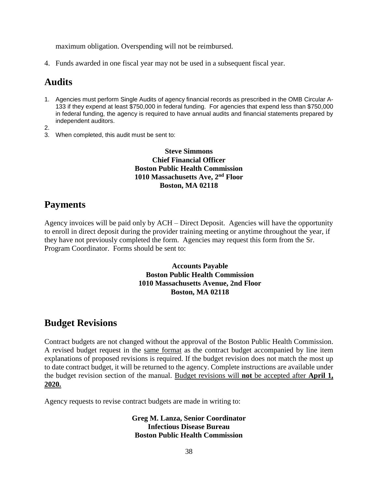maximum obligation. Overspending will not be reimbursed.

4. Funds awarded in one fiscal year may not be used in a subsequent fiscal year.

## **Audits**

1. Agencies must perform Single Audits of agency financial records as prescribed in the OMB Circular A-133 if they expend at least \$750,000 in federal funding. For agencies that expend less than \$750,000 in federal funding, the agency is required to have annual audits and financial statements prepared by independent auditors.

2.

3. When completed, this audit must be sent to:

### **Steve Simmons Chief Financial Officer Boston Public Health Commission 1010 Massachusetts Ave, 2nd Floor Boston, MA 02118**

## **Payments**

Agency invoices will be paid only by ACH – Direct Deposit. Agencies will have the opportunity to enroll in direct deposit during the provider training meeting or anytime throughout the year, if they have not previously completed the form. Agencies may request this form from the Sr. Program Coordinator. Forms should be sent to:

### **Accounts Payable Boston Public Health Commission 1010 Massachusetts Avenue, 2nd Floor Boston, MA 02118**

## **Budget Revisions**

Contract budgets are not changed without the approval of the Boston Public Health Commission. A revised budget request in the same format as the contract budget accompanied by line item explanations of proposed revisions is required. If the budget revision does not match the most up to date contract budget, it will be returned to the agency. Complete instructions are available under the budget revision section of the manual. Budget revisions will **not** be accepted after **April 1, 2020.** 

Agency requests to revise contract budgets are made in writing to:

**Greg M. Lanza, Senior Coordinator Infectious Disease Bureau Boston Public Health Commission**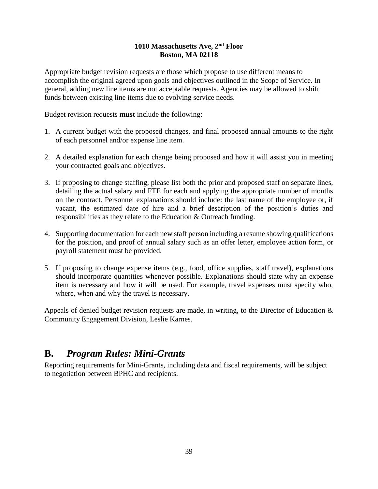### **1010 Massachusetts Ave, 2nd Floor Boston, MA 02118**

Appropriate budget revision requests are those which propose to use different means to accomplish the original agreed upon goals and objectives outlined in the Scope of Service. In general, adding new line items are not acceptable requests. Agencies may be allowed to shift funds between existing line items due to evolving service needs.

Budget revision requests **must** include the following:

- 1. A current budget with the proposed changes, and final proposed annual amounts to the right of each personnel and/or expense line item.
- 2. A detailed explanation for each change being proposed and how it will assist you in meeting your contracted goals and objectives.
- 3. If proposing to change staffing, please list both the prior and proposed staff on separate lines, detailing the actual salary and FTE for each and applying the appropriate number of months on the contract. Personnel explanations should include: the last name of the employee or, if vacant, the estimated date of hire and a brief description of the position's duties and responsibilities as they relate to the Education & Outreach funding.
- 4. Supporting documentation for each new staff person including a resume showing qualifications for the position, and proof of annual salary such as an offer letter, employee action form, or payroll statement must be provided.
- 5. If proposing to change expense items (e.g., food, office supplies, staff travel), explanations should incorporate quantities whenever possible. Explanations should state why an expense item is necessary and how it will be used. For example, travel expenses must specify who, where, when and why the travel is necessary.

Appeals of denied budget revision requests are made, in writing, to the Director of Education  $\&$ Community Engagement Division, Leslie Karnes.

## **B.** *Program Rules: Mini-Grants*

Reporting requirements for Mini-Grants, including data and fiscal requirements, will be subject to negotiation between BPHC and recipients.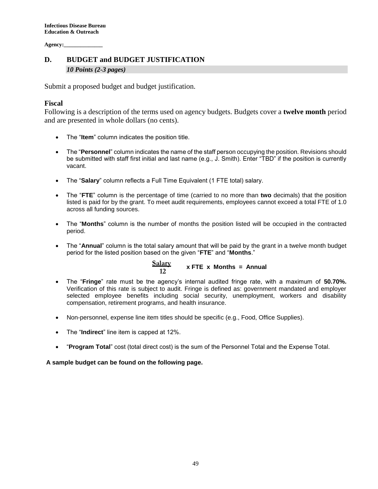**Agency:\_\_\_\_\_\_\_\_\_\_\_\_\_\_**

### **D. BUDGET and BUDGET JUSTIFICATION**  *10 Points (2-3 pages)*

Submit a proposed budget and budget justification.

### **Fiscal**

Following is a description of the terms used on agency budgets. Budgets cover a **twelve month** period and are presented in whole dollars (no cents).

- The "**Item**" column indicates the position title.
- The "**Personnel**" column indicates the name of the staff person occupying the position. Revisions should be submitted with staff first initial and last name (e.g., J. Smith). Enter "TBD" if the position is currently vacant.
- The "**Salary**" column reflects a Full Time Equivalent (1 FTE total) salary.
- The "**FTE**" column is the percentage of time (carried to no more than **two** decimals) that the position listed is paid for by the grant. To meet audit requirements, employees cannot exceed a total FTE of 1.0 across all funding sources.
- The "**Months**" column is the number of months the position listed will be occupied in the contracted period.
- The "**Annual**" column is the total salary amount that will be paid by the grant in a twelve month budget period for the listed position based on the given "**FTE**" and "**Months**."

 **x FTE x Months = Annual Salary 12**

- The "**Fringe**" rate must be the agency's internal audited fringe rate, with a maximum of **50.70%.** Verification of this rate is subject to audit. Fringe is defined as: government mandated and employer selected employee benefits including social security, unemployment, workers and disability compensation, retirement programs, and health insurance.
- Non-personnel, expense line item titles should be specific (e.g., Food, Office Supplies).
- The "**Indirect**" line item is capped at 12%.
- "**Program Total**" cost (total direct cost) is the sum of the Personnel Total and the Expense Total.

**A sample budget can be found on the following page.**